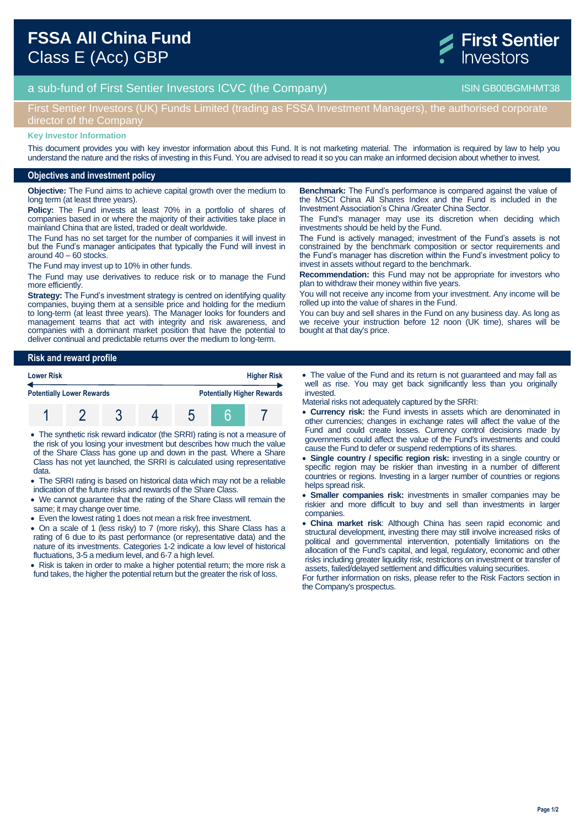



## First Sentier Investors (UK) Funds Limited (trading as FSSA Investment Managers), the authorised corporate director of the Compan

#### **Key Investor Information**

This document provides you with key investor information about this Fund. It is not marketing material. The information is required by law to help you understand the nature and the risks of investing in this Fund. You are advised to read it so you can make an informed decision about whether to invest.

#### **Objectives and investment policy**

**Objective:** The Fund aims to achieve capital growth over the medium to long term (at least three years).

**Policy:** The Fund invests at least 70% in a portfolio of shares of companies based in or where the majority of their activities take place in mainland China that are listed, traded or dealt worldwide.

The Fund has no set target for the number of companies it will invest in but the Fund's manager anticipates that typically the Fund will invest in around 40 – 60 stocks.

The Fund may invest up to 10% in other funds.

The Fund may use derivatives to reduce risk or to manage the Fund more efficiently.

**Strategy:** The Fund's investment strategy is centred on identifying quality companies, buying them at a sensible price and holding for the medium to long-term (at least three years). The Manager looks for founders and management teams that act with integrity and risk awareness, and companies with a dominant market position that have the potential to deliver continual and predictable returns over the medium to long-term.

**Risk and reward profile**

| <b>Lower Risk</b><br><b>Potentially Lower Rewards</b> |  |  |  | <b>Higher Risk</b>                |  |  |
|-------------------------------------------------------|--|--|--|-----------------------------------|--|--|
|                                                       |  |  |  | <b>Potentially Higher Rewards</b> |  |  |
|                                                       |  |  |  |                                   |  |  |

- The synthetic risk reward indicator (the SRRI) rating is not a measure of the risk of you losing your investment but describes how much the value of the Share Class has gone up and down in the past. Where a Share Class has not yet launched, the SRRI is calculated using representative data.
- The SRRI rating is based on historical data which may not be a reliable indication of the future risks and rewards of the Share Class.
- We cannot guarantee that the rating of the Share Class will remain the same; it may change over time.
- Even the lowest rating 1 does not mean a risk free investment.
- On a scale of 1 (less risky) to 7 (more risky), this Share Class has a rating of 6 due to its past performance (or representative data) and the nature of its investments. Categories 1-2 indicate a low level of historical fluctuations, 3-5 a medium level, and 6-7 a high level.

• Risk is taken in order to make a higher potential return; the more risk a fund takes, the higher the potential return but the greater the risk of loss.

**Benchmark:** The Fund's performance is compared against the value of the MSCI China All Shares Index and the Fund is included in the Investment Association's China /Greater China Sector.

The Fund's manager may use its discretion when deciding which investments should be held by the Fund.

The Fund is actively managed; investment of the Fund's assets is not constrained by the benchmark composition or sector requirements and the Fund's manager has discretion within the Fund's investment policy to invest in assets without regard to the benchmark.

**Recommendation:** this Fund may not be appropriate for investors who plan to withdraw their money within five years.

You will not receive any income from your investment. Any income will be rolled up into the value of shares in the Fund.

You can buy and sell shares in the Fund on any business day. As long as we receive your instruction before 12 noon (UK time), shares will be bought at that day's price.

- The value of the Fund and its return is not guaranteed and may fall as well as rise. You may get back significantly less than you originally invested.
- Material risks not adequately captured by the SRRI:
- **Currency risk:** the Fund invests in assets which are denominated in other currencies; changes in exchange rates will affect the value of the Fund and could create losses. Currency control decisions made by governments could affect the value of the Fund's investments and could cause the Fund to defer or suspend redemptions of its shares.
- **Single country / specific region risk:** investing in a single country or specific region may be riskier than investing in a number of different countries or regions. Investing in a larger number of countries or regions helps spread risk.
- **Smaller companies risk:** investments in smaller companies may be riskier and more difficult to buy and sell than investments in larger companies.
- **China market risk**: Although China has seen rapid economic and structural development, investing there may still involve increased risks of political and governmental intervention, potentially limitations on the allocation of the Fund's capital, and legal, regulatory, economic and other risks including greater liquidity risk, restrictions on investment or transfer of assets, failed/delayed settlement and difficulties valuing securities.

For further information on risks, please refer to the Risk Factors section in the Company's prospectus.